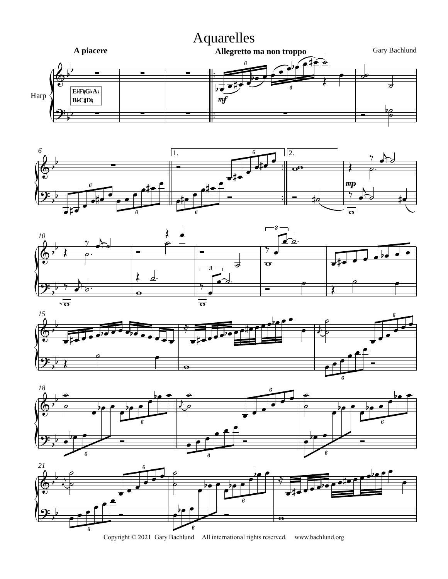











Copyright © 2021 Gary Bachlund All international rights reserved. www.bachlund,org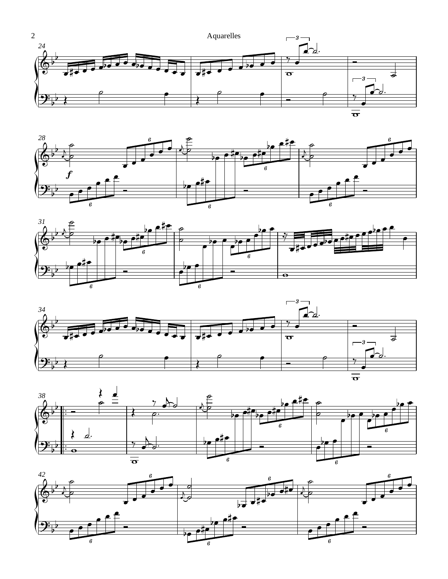









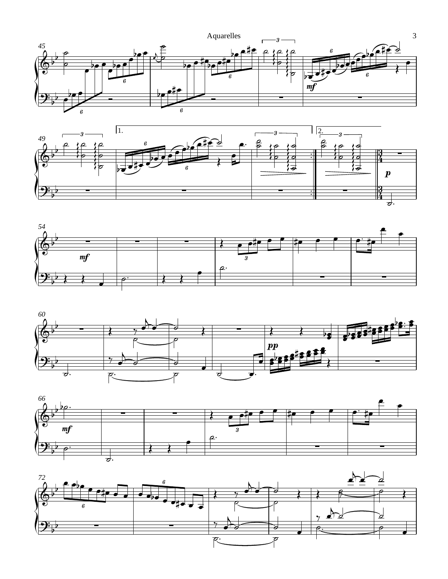









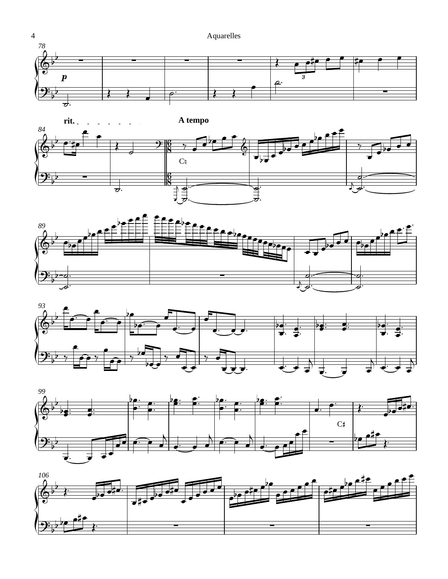









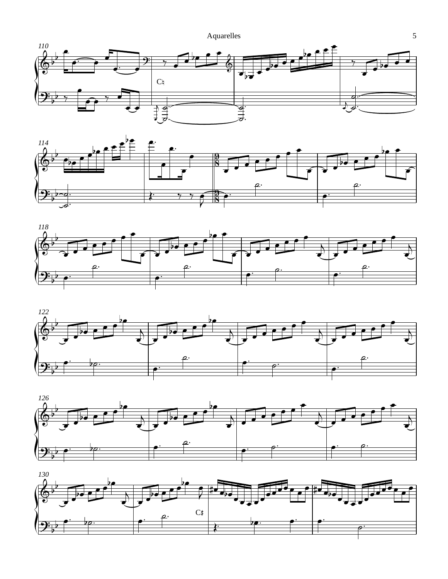









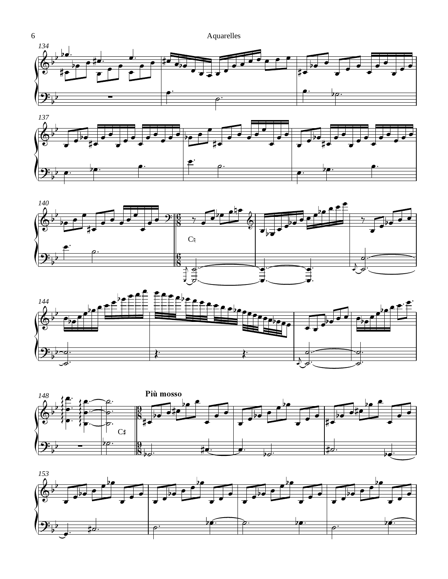









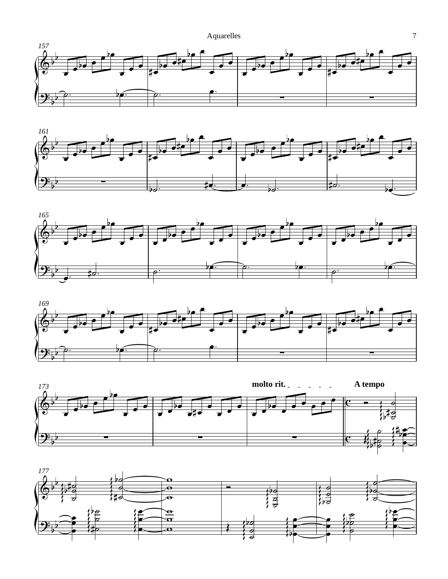









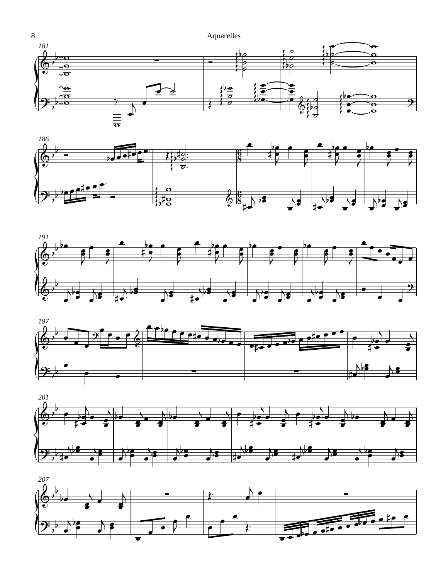









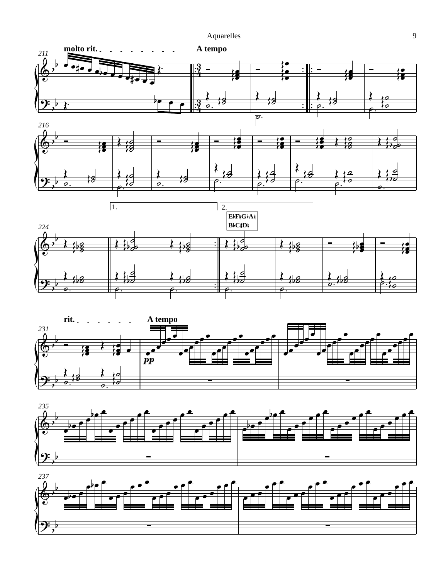Aquarelles 9









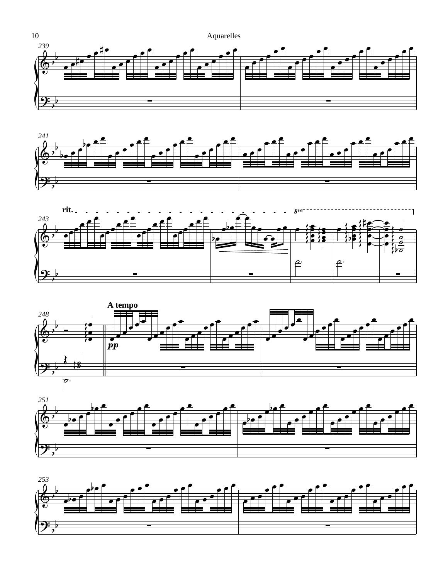